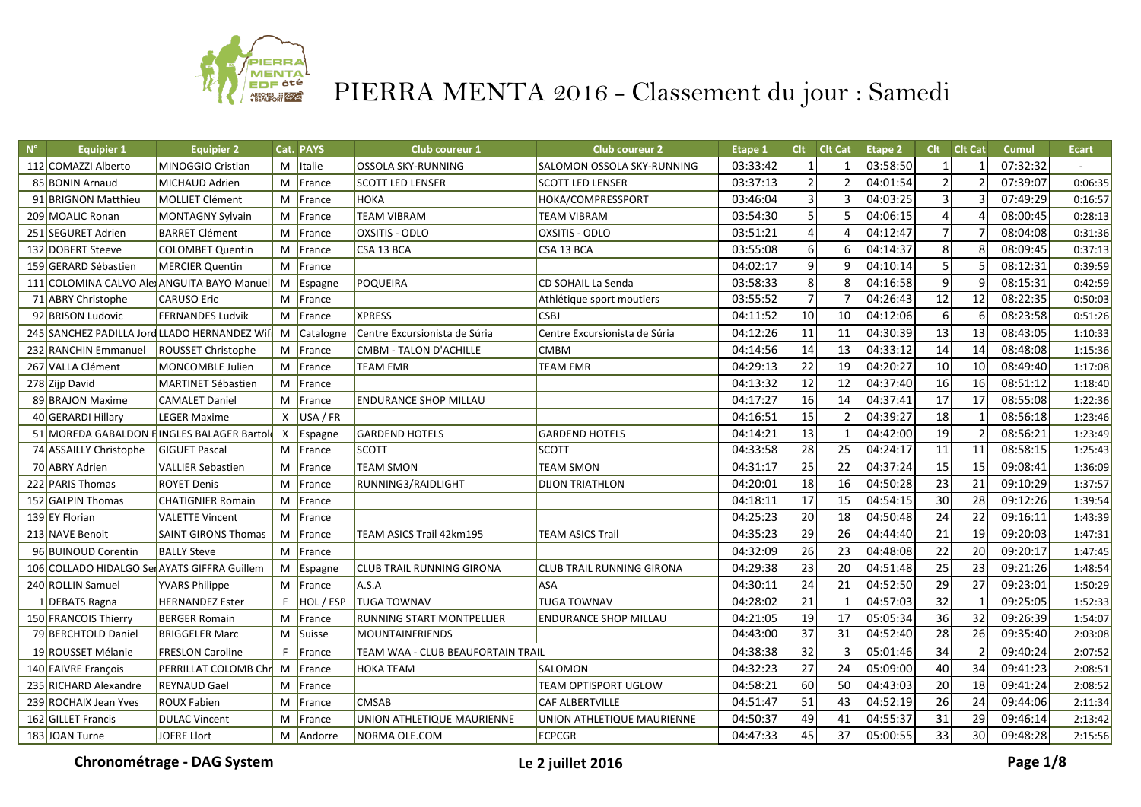

| $N^{\circ}$ | <b>Equipier 1</b>                            | <b>Equipier 2</b>                            |              | Cat. PAYS   | Club coureur 1                    | <b>Club coureur 2</b>            | Etape 1  | <b>Clt</b>      | <b>Clt Cat</b>           | <b>Etape 2</b> | Clt             | <b>Clt Cat</b> | Cumul    | <b>Ecart</b> |
|-------------|----------------------------------------------|----------------------------------------------|--------------|-------------|-----------------------------------|----------------------------------|----------|-----------------|--------------------------|----------------|-----------------|----------------|----------|--------------|
|             | 112 COMAZZI Alberto                          | MINOGGIO Cristian                            |              | $M$ Italie  | <b>OSSOLA SKY-RUNNING</b>         | SALOMON OSSOLA SKY-RUNNING       | 03:33:42 |                 |                          | 03:58:50       |                 |                | 07:32:32 |              |
|             | 85 BONIN Arnaud                              | MICHAUD Adrien                               | M            | France      | <b>SCOTT LED LENSER</b>           | <b>SCOTT LED LENSER</b>          | 03:37:13 | $\overline{2}$  | $\overline{\phantom{a}}$ | 04:01:54       | $\mathfrak{p}$  |                | 07:39:07 | 0:06:35      |
|             | 91 BRIGNON Matthieu                          | MOLLIET Clément                              |              | M France    | <b>НОКА</b>                       | HOKA/COMPRESSPORT                | 03:46:04 | $\overline{3}$  | $\overline{3}$           | 04:03:25       |                 |                | 07:49:29 | 0:16:57      |
|             | 209 MOALIC Ronan                             | MONTAGNY Sylvain                             | M            | France      | <b>TEAM VIBRAM</b>                | <b>TEAM VIBRAM</b>               | 03:54:30 | 5               | 5                        | 04:06:15       | 4               |                | 08:00:45 | 0:28:13      |
|             | 251 SEGURET Adrien                           | <b>BARRET Clément</b>                        | M            | France      | OXSITIS - ODLO                    | OXSITIS - ODLO                   | 03:51:21 | $\overline{a}$  |                          | 04:12:47       | $\overline{7}$  |                | 08:04:08 | 0:31:36      |
|             | 132 DOBERT Steeve                            | COLOMBET Quentin                             | M            | France      | CSA 13 BCA                        | CSA 13 BCA                       | 03:55:08 | $6\,$           | 6                        | 04:14:37       | 8               |                | 08:09:45 | 0:37:13      |
|             | 159 GERARD Sébastien                         | MERCIER Quentin                              | M            | France      |                                   |                                  | 04:02:17 | $\overline{9}$  | 9                        | 04:10:14       | 5               |                | 08:12:31 | 0:39:59      |
|             |                                              | 111 COLOMINA CALVO Ale ANGUITA BAYO Manuel   |              | M Espagne   | POQUEIRA                          | CD SOHAIL La Senda               | 03:58:33 | 8               | 8                        | 04:16:58       | $\mathsf{q}$    |                | 08:15:31 | 0:42:59      |
|             | 71 ABRY Christophe                           | <b>CARUSO Eric</b>                           |              | M France    |                                   | Athlétique sport moutiers        | 03:55:52 | $\overline{7}$  |                          | 04:26:43       | 12              | 12             | 08:22:35 | 0:50:03      |
|             | 92 BRISON Ludovic                            | <b>FERNANDES Ludvik</b>                      |              | M France    | <b>XPRESS</b>                     | <b>CSBJ</b>                      | 04:11:52 | 10              | $\overline{10}$          | 04:12:06       | 6               |                | 08:23:58 | 0:51:26      |
|             |                                              | 245 SANCHEZ PADILLA Jord LLADO HERNANDEZ Wif |              | M Catalogne | Centre Excursionista de Súria     | Centre Excursionista de Súria    | 04:12:26 | 11              | 11                       | 04:30:39       | 13              | 13             | 08:43:05 | 1:10:33      |
|             | 232 RANCHIN Emmanuel                         | <b>ROUSSET Christophe</b>                    | M            | France      | <b>CMBM - TALON D'ACHILLE</b>     | <b>CMBM</b>                      | 04:14:56 | 14              | 13                       | 04:33:12       | 14              | 14             | 08:48:08 | 1:15:36      |
|             | 267 VALLA Clément                            | MONCOMBLE Julien                             |              | M France    | <b>TEAM FMR</b>                   | <b>TEAM FMR</b>                  | 04:29:13 | 22              | 19                       | 04:20:27       | 10              | 10             | 08:49:40 | 1:17:08      |
|             | 278 Zijp David                               | MARTINET Sébastien                           |              | M France    |                                   |                                  | 04:13:32 | 12              | 12                       | 04:37:40       | 16              | 16             | 08:51:12 | 1:18:40      |
|             | 89 BRAJON Maxime                             | <b>CAMALET Daniel</b>                        |              | M France    | <b>ENDURANCE SHOP MILLAU</b>      |                                  | 04:17:27 | 16              | 14                       | 04:37:41       | 17              | 17             | 08:55:08 | 1:22:36      |
|             | 40 GERARDI Hillary                           | <b>LEGER Maxime</b>                          | $\mathsf{x}$ | USA / FR    |                                   |                                  | 04:16:51 | $\overline{15}$ | $\overline{z}$           | 04:39:27       | 18              |                | 08:56:18 | 1:23:46      |
|             |                                              | 51 MOREDA GABALDON EINGLES BALAGER Bartol    |              | X Espagne   | <b>GARDEND HOTELS</b>             | <b>GARDEND HOTELS</b>            | 04:14:21 | 13              | $\mathbf{1}$             | 04:42:00       | 19              |                | 08:56:21 | 1:23:49      |
|             | 74 ASSAILLY Christophe                       | <b>GIGUET Pascal</b>                         |              | M France    | <b>SCOTT</b>                      | <b>SCOTT</b>                     | 04:33:58 | 28              | $\overline{25}$          | 04:24:17       | $\overline{11}$ | 11             | 08:58:15 | 1:25:43      |
|             | 70 ABRY Adrien                               | <b>VALLIER Sebastien</b>                     | M            | France      | <b>TEAM SMON</b>                  | <b>TEAM SMON</b>                 | 04:31:17 | 25              | 22                       | 04:37:24       | 15              | 15             | 09:08:41 | 1:36:09      |
|             | 222 PARIS Thomas                             | <b>ROYET Denis</b>                           | M            | France      | RUNNING3/RAIDLIGHT                | <b>DIJON TRIATHLON</b>           | 04:20:01 | 18              | 16                       | 04:50:28       | 23              | 21             | 09:10:29 | 1:37:57      |
|             | 152 GALPIN Thomas                            | <b>CHATIGNIER Romain</b>                     | M            | France      |                                   |                                  | 04:18:11 | 17              | 15                       | 04:54:15       | 30              | 28             | 09:12:26 | 1:39:54      |
|             | 139 EY Florian                               | <b>VALETTE Vincent</b>                       |              | M France    |                                   |                                  | 04:25:23 | 20              | 18                       | 04:50:48       | $\overline{24}$ | 22             | 09:16:11 | 1:43:39      |
|             | 213 NAVE Benoit                              | <b>SAINT GIRONS Thomas</b>                   |              | M France    | TEAM ASICS Trail 42km195          | <b>TEAM ASICS Trail</b>          | 04:35:23 | 29              | $\overline{26}$          | 04:44:40       | $\overline{21}$ | 19             | 09:20:03 | 1:47:31      |
|             | 96 BUINOUD Corentin                          | <b>BALLY Steve</b>                           |              | M France    |                                   |                                  | 04:32:09 | $\overline{26}$ | $\overline{23}$          | 04:48:08       | $\overline{22}$ | 20             | 09:20:17 | 1:47:45      |
|             | 106 COLLADO HIDALGO Ser AYATS GIFFRA Guillem |                                              | M            | Espagne     | CLUB TRAIL RUNNING GIRONA         | <b>CLUB TRAIL RUNNING GIRONA</b> | 04:29:38 | 23              | $\overline{20}$          | 04:51:48       | 25              | 23             | 09:21:26 | 1:48:54      |
|             | 240 ROLLIN Samuel                            | <b>YVARS Philippe</b>                        | M            | France      | A.S.A                             | ASA                              | 04:30:11 | 24              | 21                       | 04:52:50       | 29              | 27             | 09:23:01 | 1:50:29      |
|             | 1 DEBATS Ragna                               | <b>HERNANDEZ</b> Ester                       | F.           | HOL / ESP   | <b>TUGA TOWNAV</b>                | <b>TUGA TOWNAV</b>               | 04:28:02 | 21              | $\mathbf{1}$             | 04:57:03       | $\overline{32}$ |                | 09:25:05 | 1:52:33      |
|             | 150 FRANCOIS Thierry                         | <b>BERGER Romain</b>                         | M            | France      | RUNNING START MONTPELLIER         | <b>ENDURANCE SHOP MILLAU</b>     | 04:21:05 | 19              | 17                       | 05:05:34       | 36              | 32             | 09:26:39 | 1:54:07      |
|             | 79 BERCHTOLD Daniel                          | <b>BRIGGELER Marc</b>                        | M            | Suisse      | <b>MOUNTAINFRIENDS</b>            |                                  | 04:43:00 | 37              | $\overline{31}$          | 04:52:40       | 28              | 26             | 09:35:40 | 2:03:08      |
|             | 19 ROUSSET Mélanie                           | <b>FRESLON Caroline</b>                      | F.           | France      | TEAM WAA - CLUB BEAUFORTAIN TRAIL |                                  | 04:38:38 | 32              | $\overline{3}$           | 05:01:46       | $\overline{34}$ |                | 09:40:24 | 2:07:52      |
|             | 140 FAIVRE François                          | PERRILLAT COLOMB Chr                         |              | M France    | <b>HOKA TEAM</b>                  | SALOMON                          | 04:32:23 | 27              | $\overline{24}$          | 05:09:00       | 40              | 34             | 09:41:23 | 2:08:51      |
|             | 235 RICHARD Alexandre                        | <b>REYNAUD Gael</b>                          | M            | France      |                                   | TEAM OPTISPORT UGLOW             | 04:58:21 | 60              | 50                       | 04:43:03       | 20              | 18             | 09:41:24 | 2:08:52      |
|             | 239 ROCHAIX Jean Yves                        | <b>ROUX Fabien</b>                           | M            | France      | <b>CMSAB</b>                      | <b>CAF ALBERTVILLE</b>           | 04:51:47 | 51              | 43                       | 04:52:19       | 26              | 24             | 09:44:06 | 2:11:34      |
|             | 162 GILLET Francis                           | <b>DULAC Vincent</b>                         | M            | France      | UNION ATHLETIQUE MAURIENNE        | UNION ATHLETIQUE MAURIENNE       | 04:50:37 | 49              | 41                       | 04:55:37       | 31              | 29             | 09:46:14 | 2:13:42      |
|             | 183 JOAN Turne                               | JOFRE Llort                                  |              | M Andorre   | NORMA OLE.COM                     | ECPCGR                           | 04:47:33 | 45              | 37                       | 05:00:55       | 33              | 30             | 09:48:28 | 2:15:56      |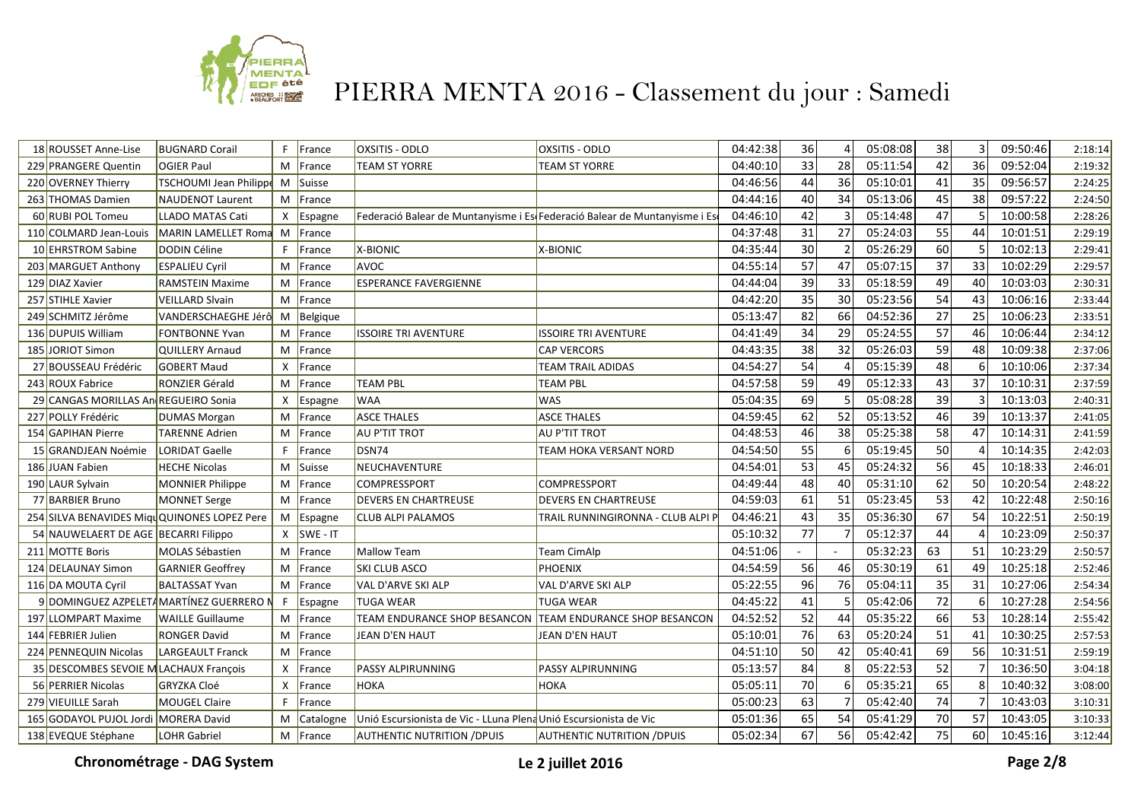

| 18 ROUSSET Anne-Lise                   | <b>BUGNARD Corail</b>                       | F.           | France         | <b>OXSITIS - ODLO</b>                                                     | <b>OXSITIS - ODLO</b>               | 04:42:38 | 36 |                | 05:08:08 | 38              |    | 09:50:46 | 2:18:14 |
|----------------------------------------|---------------------------------------------|--------------|----------------|---------------------------------------------------------------------------|-------------------------------------|----------|----|----------------|----------|-----------------|----|----------|---------|
| 229 PRANGERE Quentin                   | <b>OGIER Paul</b>                           |              | M France       | <b>TEAM ST YORRE</b>                                                      | <b>TEAM ST YORRE</b>                | 04:40:10 | 33 | 28             | 05:11:54 | 42              | 36 | 09:52:04 | 2:19:32 |
| 220 OVERNEY Thierry                    | <b>TSCHOUMI Jean Philippe</b>               |              | M Suisse       |                                                                           |                                     | 04:46:56 | 44 | 36             | 05:10:01 | 41              | 35 | 09:56:57 | 2:24:25 |
| 263 THOMAS Damien                      | NAUDENOT Laurent                            |              | M France       |                                                                           |                                     | 04:44:16 | 40 | 34             | 05:13:06 | 45              | 38 | 09:57:22 | 2:24:50 |
| 60 RUBI POL Tomeu                      | <b>LLADO MATAS Cati</b>                     | $\mathsf{X}$ | Espagne        | Federació Balear de Muntanyisme i Es Federació Balear de Muntanyisme i Es |                                     | 04:46:10 | 42 | 3              | 05:14:48 | 47              |    | 10:00:58 | 2:28:26 |
| 110 COLMARD Jean-Louis                 | MARIN LAMELLET Roma                         |              | M France       |                                                                           |                                     | 04:37:48 | 31 | 27             | 05:24:03 | 55              | 44 | 10:01:51 | 2:29:19 |
| 10 EHRSTROM Sabine                     | DODIN Céline                                | F            | France         | X-BIONIC                                                                  | X-BIONIC                            | 04:35:44 | 30 | $\overline{2}$ | 05:26:29 | 60              |    | 10:02:13 | 2:29:41 |
| 203 MARGUET Anthony                    | <b>ESPALIEU Cyril</b>                       |              | M France       | AVOC                                                                      |                                     | 04:55:14 | 57 | 47             | 05:07:15 | 37              | 33 | 10:02:29 | 2:29:57 |
| 129 DIAZ Xavier                        | <b>RAMSTEIN Maxime</b>                      | М            | France         | <b>ESPERANCE FAVERGIENNE</b>                                              |                                     | 04:44:04 | 39 | 33             | 05:18:59 | 49              | 40 | 10:03:03 | 2:30:31 |
| 257 STIHLE Xavier                      | <b>VEILLARD Slvain</b>                      |              | M France       |                                                                           |                                     | 04:42:20 | 35 | 30             | 05:23:56 | 54              | 43 | 10:06:16 | 2:33:44 |
| 249 SCHMITZ Jérôme                     | VANDERSCHAEGHE Jérô                         | M            | Belgique       |                                                                           |                                     | 05:13:47 | 82 | 66             | 04:52:36 | $\overline{27}$ | 25 | 10:06:23 | 2:33:51 |
| 136 DUPUIS William                     | <b>FONTBONNE Yvan</b>                       | M            | France         | <b>ISSOIRE TRI AVENTURE</b>                                               | <b>ISSOIRE TRI AVENTURE</b>         | 04:41:49 | 34 | 29             | 05:24:55 | 57              | 46 | 10:06:44 | 2:34:12 |
| 185 JORIOT Simon                       | <b>QUILLERY Arnaud</b>                      | M            | France         |                                                                           | <b>CAP VERCORS</b>                  | 04:43:35 | 38 | 32             | 05:26:03 | 59              | 48 | 10:09:38 | 2:37:06 |
| 27 BOUSSEAU Frédéric                   | <b>GOBERT Maud</b>                          | X            | <b>IFrance</b> |                                                                           | <b>TEAM TRAIL ADIDAS</b>            | 04:54:27 | 54 |                | 05:15:39 | 48              |    | 10:10:06 | 2:37:34 |
| 243 ROUX Fabrice                       | RONZIER Gérald                              | M            | France         | <b>TEAM PBL</b>                                                           | <b>TEAM PBL</b>                     | 04:57:58 | 59 | 49             | 05:12:33 | 43              | 37 | 10:10:31 | 2:37:59 |
| 29 CANGAS MORILLAS An REGUEIRO Sonia   |                                             | $\mathsf{x}$ | Espagne        | <b>WAA</b>                                                                | <b>WAS</b>                          | 05:04:35 | 69 | 5              | 05:08:28 | 39              |    | 10:13:03 | 2:40:31 |
| 227 POLLY Frédéric                     | <b>DUMAS Morgan</b>                         | M            | France         | <b>ASCE THALES</b>                                                        | <b>ASCE THALES</b>                  | 04:59:45 | 62 | 52             | 05:13:52 | 46              | 39 | 10:13:37 | 2:41:05 |
| 154 GAPIHAN Pierre                     | <b>TARENNE Adrien</b>                       |              | M France       | AU P'TIT TROT                                                             | AU P'TIT TROT                       | 04:48:53 | 46 | 38             | 05:25:38 | 58              | 47 | 10:14:31 | 2:41:59 |
| 15 GRANDJEAN Noémie                    | LORIDAT Gaelle                              | F.           | France         | DSN74                                                                     | TEAM HOKA VERSANT NORD              | 04:54:50 | 55 | 6              | 05:19:45 | 50              |    | 10:14:35 | 2:42:03 |
| 186 JUAN Fabien                        | <b>HECHE Nicolas</b>                        |              | M Suisse       | <b>NEUCHAVENTURE</b>                                                      |                                     | 04:54:01 | 53 | 45             | 05:24:32 | 56              | 45 | 10:18:33 | 2:46:01 |
| 190 LAUR Sylvain                       | MONNIER Philippe                            | M            | France         | <b>COMPRESSPORT</b>                                                       | <b>COMPRESSPORT</b>                 | 04:49:44 | 48 | 40             | 05:31:10 | 62              | 50 | 10:20:54 | 2:48:22 |
| 77 BARBIER Bruno                       | MONNET Serge                                |              | M France       | <b>DEVERS EN CHARTREUSE</b>                                               | <b>DEVERS EN CHARTREUSE</b>         | 04:59:03 | 61 | 51             | 05:23:45 | 53              | 42 | 10:22:48 | 2:50:16 |
|                                        | 254 SILVA BENAVIDES MiguQUINONES LOPEZ Pere |              | M Espagne      | CLUB ALPI PALAMOS                                                         | TRAIL RUNNINGIRONNA - CLUB ALPI I   | 04:46:21 | 43 | 35             | 05:36:30 | 67              | 54 | 10:22:51 | 2:50:19 |
| 54 NAUWELAERT DE AGE BECARRI Filippo   |                                             | $\mathsf{X}$ | <b>SWE-IT</b>  |                                                                           |                                     | 05:10:32 | 77 |                | 05:12:37 | 44              |    | 10:23:09 | 2:50:37 |
| 211 MOTTE Boris                        | MOLAS Sébastien                             | M            | France         | <b>Mallow Team</b>                                                        | Team CimAlp                         | 04:51:06 |    |                | 05:32:23 | 63              | 51 | 10:23:29 | 2:50:57 |
| 124 DELAUNAY Simon                     | <b>GARNIER Geoffrey</b>                     | M            | France         | SKI CLUB ASCO                                                             | <b>PHOENIX</b>                      | 04:54:59 | 56 | 46             | 05:30:19 | 61              | 49 | 10:25:18 | 2:52:46 |
| 116 DA MOUTA Cyril                     | <b>BALTASSAT Yvan</b>                       |              | M France       | VAL D'ARVE SKI ALP                                                        | VAL D'ARVE SKI ALP                  | 05:22:55 | 96 | 76             | 05:04:11 | 35              | 31 | 10:27:06 | 2:54:34 |
|                                        | 9 DOMINGUEZ AZPELETA MARTÍNEZ GUERRERO N    | F            | Espagne        | <b>TUGA WEAR</b>                                                          | TUGA WEAR                           | 04:45:22 | 41 | 5              | 05:42:06 | 72              |    | 10:27:28 | 2:54:56 |
| 197 LLOMPART Maxime                    | <b>WAILLE Guillaume</b>                     | M            | France         | TEAM ENDURANCE SHOP BESANCON                                              | <b>TEAM ENDURANCE SHOP BESANCON</b> | 04:52:52 | 52 | 44             | 05:35:22 | 66              | 53 | 10:28:14 | 2:55:42 |
| 144 FEBRIER Julien                     | <b>RONGER David</b>                         | M            | France         | JEAN D'EN HAUT                                                            | JEAN D'EN HAUT                      | 05:10:01 | 76 | 63             | 05:20:24 | 51              | 41 | 10:30:25 | 2:57:53 |
| 224 PENNEQUIN Nicolas                  | LARGEAULT Franck                            | M            | France         |                                                                           |                                     | 04:51:10 | 50 | 42             | 05:40:41 | 69              | 56 | 10:31:51 | 2:59:19 |
| 35 DESCOMBES SEVOIE M LACHAUX François |                                             | $\times$     | France         | PASSY ALPIRUNNING                                                         | PASSY ALPIRUNNING                   | 05:13:57 | 84 | 8              | 05:22:53 | 52              |    | 10:36:50 | 3:04:18 |
| 56 PERRIER Nicolas                     | <b>GRYZKA Cloé</b>                          |              | X   France     | HOKA                                                                      | <b>НОКА</b>                         | 05:05:11 | 70 | 6              | 05:35:21 | 65              |    | 10:40:32 | 3:08:00 |
| 279 VIEUILLE Sarah                     | <b>MOUGEL Claire</b>                        | F.           | France         |                                                                           |                                     | 05:00:23 | 63 |                | 05:42:40 | 74              |    | 10:43:03 | 3:10:31 |
| 165 GODAYOL PUJOL Jordi MORERA David   |                                             | M            | Catalogne      | Unió Escursionista de Vic - LLuna Plena Unió Escursionista de Vic         |                                     | 05:01:36 | 65 | 54             | 05:41:29 | 70              | 57 | 10:43:05 | 3:10:33 |
| 138 EVEQUE Stéphane                    | LOHR Gabriel                                |              | M France       | <b>AUTHENTIC NUTRITION / DPUIS</b>                                        | AUTHENTIC NUTRITION /DPUIS          | 05:02:34 | 67 | 56             | 05:42:42 | 75              | 60 | 10:45:16 | 3:12:44 |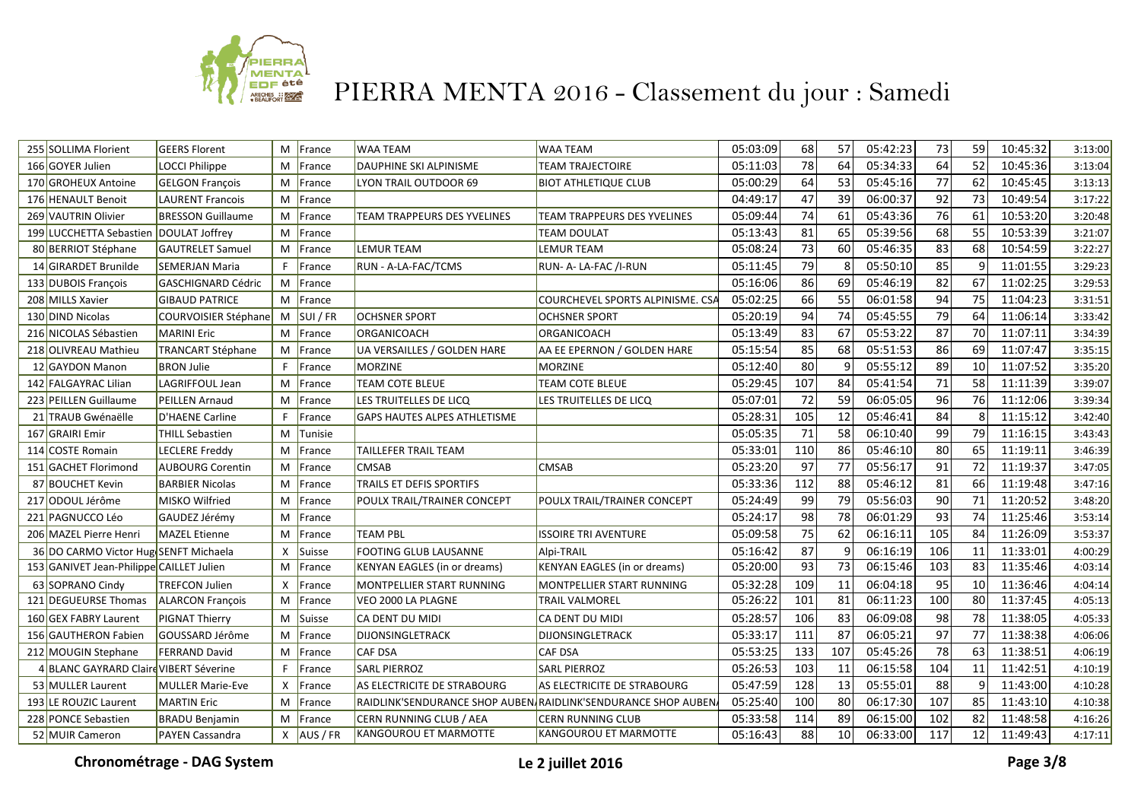

| 255 SOLLIMA Florient                     | <b>GEERS Florent</b>      | M            | France        | <b>WAA TEAM</b>                     | <b>WAA TEAM</b>                                                | 05:03:09 | 68  | 57              | 05:42:23 | 73  | 59 | 10:45:32 | 3:13:00 |
|------------------------------------------|---------------------------|--------------|---------------|-------------------------------------|----------------------------------------------------------------|----------|-----|-----------------|----------|-----|----|----------|---------|
| 166 GOYER Julien                         | LOCCI Philippe            | M            | France        | DAUPHINE SKI ALPINISME              | <b>TEAM TRAJECTOIRE</b>                                        | 05:11:03 | 78  | 64              | 05:34:33 | 64  | 52 | 10:45:36 | 3:13:04 |
| 170 GROHEUX Antoine                      | <b>GELGON François</b>    | M            | France        | LYON TRAIL OUTDOOR 69               | <b>BIOT ATHLETIQUE CLUB</b>                                    | 05:00:29 | 64  | 53              | 05:45:16 | 77  | 62 | 10:45:45 | 3:13:13 |
| 176 HENAULT Benoit                       | <b>LAURENT Francois</b>   | M            | France        |                                     |                                                                | 04:49:17 | 47  | 39              | 06:00:37 | 92  | 73 | 10:49:54 | 3:17:22 |
| 269 VAUTRIN Olivier                      | <b>BRESSON Guillaume</b>  | M            | France        | <b>TEAM TRAPPEURS DES YVELINES</b>  | TEAM TRAPPEURS DES YVELINES                                    | 05:09:44 | 74  | 61              | 05:43:36 | 76  | 61 | 10:53:20 | 3:20:48 |
| 199 LUCCHETTA Sebastien                  | DOULAT Joffrey            | M            | France        |                                     | <b>TEAM DOULAT</b>                                             | 05:13:43 | 81  | 65              | 05:39:56 | 68  | 55 | 10:53:39 | 3:21:07 |
| 80 BERRIOT Stéphane                      | <b>GAUTRELET Samuel</b>   | M            | France        | LEMUR TEAM                          | <b>LEMUR TEAM</b>                                              | 05:08:24 | 73  | 60              | 05:46:35 | 83  | 68 | 10:54:59 | 3:22:27 |
| 14 GIRARDET Brunilde                     | <b>SEMERJAN Maria</b>     | F.           | France        | RUN - A-LA-FAC/TCMS                 | RUN- A- LA-FAC /I-RUN                                          | 05:11:45 | 79  | 8               | 05:50:10 | 85  |    | 11:01:55 | 3:29:23 |
| 133 DUBOIS François                      | <b>GASCHIGNARD Cédric</b> | M            | France        |                                     |                                                                | 05:16:06 | 86  | 69              | 05:46:19 | 82  | 67 | 11:02:25 | 3:29:53 |
| 208 MILLS Xavier                         | <b>GIBAUD PATRICE</b>     | M            | France        |                                     | COURCHEVEL SPORTS ALPINISME. CSA                               | 05:02:25 | 66  | 55              | 06:01:58 | 94  | 75 | 11:04:23 | 3:31:51 |
| 130 DIND Nicolas                         | COURVOISIER Stéphane      | M            | <b>SUI/FR</b> | <b>OCHSNER SPORT</b>                | <b>OCHSNER SPORT</b>                                           | 05:20:19 | 94  | 74              | 05:45:55 | 79  | 64 | 11:06:14 | 3:33:42 |
| 216 NICOLAS Sébastien                    | <b>MARINI Eric</b>        | M            | France        | ORGANICOACH                         | ORGANICOACH                                                    | 05:13:49 | 83  | 67              | 05:53:22 | 87  | 70 | 11:07:11 | 3:34:39 |
| 218 OLIVREAU Mathieu                     | <b>TRANCART Stéphane</b>  | M            | France        | UA VERSAILLES / GOLDEN HARE         | AA EE EPERNON / GOLDEN HARE                                    | 05:15:54 | 85  | 68              | 05:51:53 | 86  | 69 | 11:07:47 | 3:35:15 |
| 12 GAYDON Manon                          | <b>BRON Julie</b>         | F.           | France        | <b>MORZINE</b>                      | <b>MORZINE</b>                                                 | 05:12:40 | 80  | 9               | 05:55:12 | 89  | 10 | 11:07:52 | 3:35:20 |
| 142 FALGAYRAC Lilian                     | <b>LAGRIFFOUL Jean</b>    | M            | France        | <b>TEAM COTE BLEUE</b>              | <b>TEAM COTE BLEUE</b>                                         | 05:29:45 | 107 | 84              | 05:41:54 | 71  | 58 | 11:11:39 | 3:39:07 |
| 223 PEILLEN Guillaume                    | <b>PEILLEN Arnaud</b>     | M            | France        | LES TRUITELLES DE LICQ              | LES TRUITELLES DE LICQ                                         | 05:07:01 | 72  | 59              | 06:05:05 | 96  | 76 | 11:12:06 | 3:39:34 |
| 21 TRAUB Gwénaëlle                       | <b>D'HAENE Carline</b>    | F.           | France        | GAPS HAUTES ALPES ATHLETISME        |                                                                | 05:28:31 | 105 | 12              | 05:46:41 | 84  | 8  | 11:15:12 | 3:42:40 |
| 167 GRAIRI Emir                          | <b>THILL Sebastien</b>    | M            | Tunisie       |                                     |                                                                | 05:05:35 | 71  | 58              | 06:10:40 | 99  | 79 | 11:16:15 | 3:43:43 |
| 114 COSTE Romain                         | <b>LECLERE Freddy</b>     | M            | France        | TAILLEFER TRAIL TEAM                |                                                                | 05:33:01 | 110 | 86              | 05:46:10 | 80  | 65 | 11:19:11 | 3:46:39 |
| 151 GACHET Florimond                     | <b>AUBOURG Corentin</b>   | M            | France        | <b>CMSAB</b>                        | CMSAB                                                          | 05:23:20 | 97  | 77              | 05:56:17 | 91  | 72 | 11:19:37 | 3:47:05 |
| 87 BOUCHET Kevin                         | <b>BARBIER Nicolas</b>    | M            | France        | TRAILS ET DEFIS SPORTIFS            |                                                                | 05:33:36 | 112 | 88              | 05:46:12 | 81  | 66 | 11:19:48 | 3:47:16 |
| 217 ODOUL Jérôme                         | <b>MISKO Wilfried</b>     | M            | France        | POULX TRAIL/TRAINER CONCEPT         | POULX TRAIL/TRAINER CONCEPT                                    | 05:24:49 | 99  | 79              | 05:56:03 | 90  | 71 | 11:20:52 | 3:48:20 |
| 221 PAGNUCCO Léo                         | GAUDEZ Jérémy             | M            | France        |                                     |                                                                | 05:24:17 | 98  | 78              | 06:01:29 | 93  | 74 | 11:25:46 | 3:53:14 |
| 206 MAZEL Pierre Henri                   | <b>MAZEL Etienne</b>      | M            | France        | <b>TEAM PBL</b>                     | <b>ISSOIRE TRI AVENTURE</b>                                    | 05:09:58 | 75  | 62              | 06:16:11 | 105 | 84 | 11:26:09 | 3:53:37 |
| 36 DO CARMO Victor Hug SENFT Michaela    |                           | $\mathsf{X}$ | Suisse        | FOOTING GLUB LAUSANNE               | Alpi-TRAIL                                                     | 05:16:42 | 87  | 9               | 06:16:19 | 106 | 11 | 11:33:01 | 4:00:29 |
| 153 GANIVET Jean-Philippe CAILLET Julien |                           | M            | France        | <b>KENYAN EAGLES (in or dreams)</b> | KENYAN EAGLES (in or dreams)                                   | 05:20:00 | 93  | $\overline{73}$ | 06:15:46 | 103 | 83 | 11:35:46 | 4:03:14 |
| 63 SOPRANO Cindy                         | <b>TREFCON Julien</b>     | X            | France        | MONTPELLIER START RUNNING           | MONTPELLIER START RUNNING                                      | 05:32:28 | 109 | 11              | 06:04:18 | 95  | 10 | 11:36:46 | 4:04:14 |
| 121 DEGUEURSE Thomas                     | <b>ALARCON François</b>   | M            | France        | VEO 2000 LA PLAGNE                  | <b>TRAIL VALMOREL</b>                                          | 05:26:22 | 101 | 81              | 06:11:23 | 100 | 80 | 11:37:45 | 4:05:13 |
| 160 GEX FABRY Laurent                    | <b>PIGNAT Thierry</b>     | M            | Suisse        | CA DENT DU MIDI                     | CA DENT DU MIDI                                                | 05:28:57 | 106 | 83              | 06:09:08 | 98  | 78 | 11:38:05 | 4:05:33 |
| 156 GAUTHERON Fabien                     | GOUSSARD Jérôme           | M            | France        | <b>DIJONSINGLETRACK</b>             | <b>DIJONSINGLETRACK</b>                                        | 05:33:17 | 111 | 87              | 06:05:21 | 97  | 77 | 11:38:38 | 4:06:06 |
| 212 MOUGIN Stephane                      | <b>FERRAND David</b>      | M            | France        | <b>CAF DSA</b>                      | CAF DSA                                                        | 05:53:25 | 133 | 107             | 05:45:26 | 78  | 63 | 11:38:51 | 4:06:19 |
| 4 BLANC GAYRARD Claire VIBERT Séverine   |                           | F.           | France        | <b>SARL PIERROZ</b>                 | <b>SARL PIERROZ</b>                                            | 05:26:53 | 103 | 11              | 06:15:58 | 104 | 11 | 11:42:51 | 4:10:19 |
| 53 MULLER Laurent                        | MULLER Marie-Eve          | X            | France        | AS ELECTRICITE DE STRABOURG         | AS ELECTRICITE DE STRABOURG                                    | 05:47:59 | 128 | 13              | 05:55:01 | 88  | q  | 11:43:00 | 4:10:28 |
| 193 LE ROUZIC Laurent                    | <b>MARTIN Eric</b>        | M            | France        |                                     | RAIDLINK'SENDURANCE SHOP AUBEN RAIDLINK'SENDURANCE SHOP AUBEN. | 05:25:40 | 100 | 80              | 06:17:30 | 107 | 85 | 11:43:10 | 4:10:38 |
| 228 PONCE Sebastien                      | <b>BRADU Benjamin</b>     | M            | France        | CERN RUNNING CLUB / AEA             | <b>CERN RUNNING CLUB</b>                                       | 05:33:58 | 114 | 89              | 06:15:00 | 102 | 82 | 11:48:58 | 4:16:26 |
| 52 MUIR Cameron                          | <b>PAYEN Cassandra</b>    |              | $X$ AUS / FR  | KANGOUROU ET MARMOTTE               | KANGOUROU ET MARMOTTE                                          | 05:16:43 | 88  | 10              | 06:33:00 | 117 | 12 | 11:49:43 | 4:17:11 |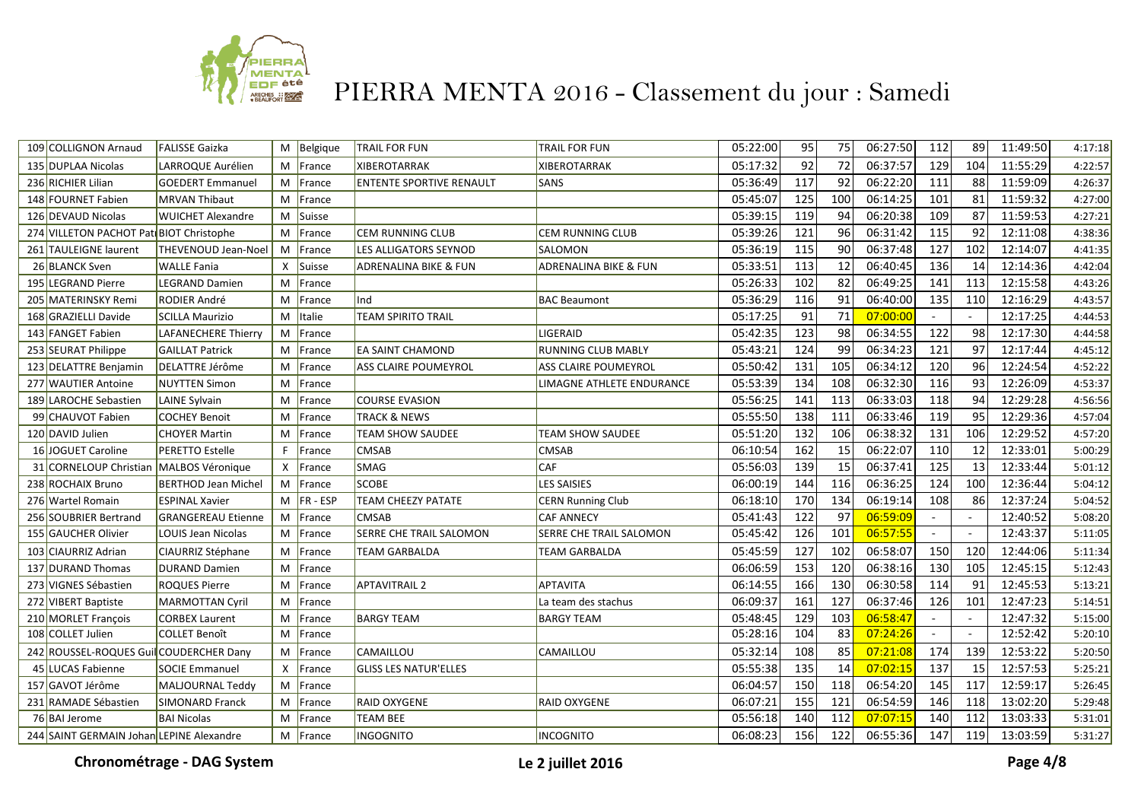

| 109 COLLIGNON Arnaud                     | <b>FALISSE Gaizka</b>      |              | M Belgique    | <b>TRAIL FOR FUN</b>            | TRAIL FOR FUN             | 05:22:00 | 95  | 75  | 06:27:50 | 112    | 89  | 11:49:50 | 4:17:18 |
|------------------------------------------|----------------------------|--------------|---------------|---------------------------------|---------------------------|----------|-----|-----|----------|--------|-----|----------|---------|
| 135 DUPLAA Nicolas                       | LARROQUE Aurélien          |              | M France      | <b>XIBEROTARRAK</b>             | <b>XIBEROTARRAK</b>       | 05:17:32 | 92  | 72  | 06:37:57 | 129    | 104 | 11:55:29 | 4:22:57 |
| 236 RICHIER Lilian                       | <b>GOEDERT Emmanuel</b>    |              | M France      | <b>ENTENTE SPORTIVE RENAULT</b> | <b>SANS</b>               | 05:36:49 | 117 | 92  | 06:22:20 | 111    | 88  | 11:59:09 | 4:26:37 |
| 148 FOURNET Fabien                       | <b>IMRVAN Thibaut</b>      |              | M France      |                                 |                           | 05:45:07 | 125 | 100 | 06:14:25 | 101    | 81  | 11:59:32 | 4:27:00 |
| 126 DEVAUD Nicolas                       | <b>WUICHET Alexandre</b>   |              | M Suisse      |                                 |                           | 05:39:15 | 119 | 94  | 06:20:38 | 109    | 87  | 11:59:53 | 4:27:21 |
| 274 VILLETON PACHOT PatiBIOT Christophe  |                            |              | M France      | <b>CEM RUNNING CLUB</b>         | CEM RUNNING CLUB          | 05:39:26 | 121 | 96  | 06:31:42 | 115    | 92  | 12:11:08 | 4:38:36 |
| 261 TAULEIGNE laurent                    | <b>THEVENOUD Jean-Noel</b> | M            | France        | LES ALLIGATORS SEYNOD           | SALOMON                   | 05:36:19 | 115 | 90  | 06:37:48 | 127    | 102 | 12:14:07 | 4:41:35 |
| 26 BLANCK Sven                           | <b>WALLE Fania</b>         | $\mathsf{x}$ | Suisse        | ADRENALINA BIKE & FUN           | ADRENALINA BIKE & FUN     | 05:33:51 | 113 | 12  | 06:40:45 | 136    | 14  | 12:14:36 | 4:42:04 |
| 195 LEGRAND Pierre                       | <b>LEGRAND Damien</b>      | M            | France        |                                 |                           | 05:26:33 | 102 | 82  | 06:49:25 | 141    | 113 | 12:15:58 | 4:43:26 |
| 205 MATERINSKY Remi                      | RODIER André               | M            | France        | Ind                             | <b>BAC Beaumont</b>       | 05:36:29 | 116 | 91  | 06:40:00 | 135    | 110 | 12:16:29 | 4:43:57 |
| 168 GRAZIELLI Davide                     | <b>SCILLA Maurizio</b>     |              | M Italie      | TEAM SPIRITO TRAIL              |                           | 05:17:25 | 91  | 71  | 07:00:00 |        |     | 12:17:25 | 4:44:53 |
| 143 FANGET Fabien                        | LAFANECHERE Thierry        |              | M France      |                                 | LIGERAID                  | 05:42:35 | 123 | 98  | 06:34:55 | 122    | 98  | 12:17:30 | 4:44:58 |
| 253 SEURAT Philippe                      | <b>GAILLAT Patrick</b>     | M            | France        | EA SAINT CHAMOND                | <b>RUNNING CLUB MABLY</b> | 05:43:21 | 124 | 99  | 06:34:23 | 121    | 97  | 12:17:44 | 4:45:12 |
| 123 DELATTRE Benjamin                    | DELATTRE Jérôme            | M            | France        | ASS CLAIRE POUMEYROL            | ASS CLAIRE POUMEYROL      | 05:50:42 | 131 | 105 | 06:34:12 | 120    | 96  | 12:24:54 | 4:52:22 |
| 277 WAUTIER Antoine                      | <b>NUYTTEN Simon</b>       | M            | France        |                                 | LIMAGNE ATHLETE ENDURANCE | 05:53:39 | 134 | 108 | 06:32:30 | 116    | 93  | 12:26:09 | 4:53:37 |
| 189 LAROCHE Sebastien                    | LAINE Sylvain              | M            | France        | <b>COURSE EVASION</b>           |                           | 05:56:25 | 141 | 113 | 06:33:03 | 118    | 94  | 12:29:28 | 4:56:56 |
| 99 CHAUVOT Fabien                        | <b>COCHEY Benoit</b>       | M            | France        | <b>TRACK &amp; NEWS</b>         |                           | 05:55:50 | 138 | 111 | 06:33:46 | 119    | 95  | 12:29:36 | 4:57:04 |
| 120 DAVID Julien                         | <b>CHOYER Martin</b>       | M            | France        | <b>TEAM SHOW SAUDEE</b>         | TEAM SHOW SAUDEE          | 05:51:20 | 132 | 106 | 06:38:32 | 131    | 106 | 12:29:52 | 4:57:20 |
| 16 JOGUET Caroline                       | <b>PERETTO Estelle</b>     | F.           | France        | <b>CMSAB</b>                    | CMSAB                     | 06:10:54 | 162 | 15  | 06:22:07 | 110    | 12  | 12:33:01 | 5:00:29 |
| 31 CORNELOUP Christian MALBOS Véronique  |                            |              | $X$ France    | SMAG                            | CAF                       | 05:56:03 | 139 | 15  | 06:37:41 | 125    | 13  | 12:33:44 | 5:01:12 |
| 238 ROCHAIX Bruno                        | <b>BERTHOD Jean Michel</b> |              | M France      | <b>SCOBE</b>                    | <b>LES SAISIES</b>        | 06:00:19 | 144 | 116 | 06:36:25 | 124    | 100 | 12:36:44 | 5:04:12 |
| 276 Wartel Romain                        | <b>ESPINAL Xavier</b>      |              | $M$  FR - ESP | <b>TEAM CHEEZY PATATE</b>       | <b>CERN Running Club</b>  | 06:18:10 | 170 | 134 | 06:19:14 | 108    | 86  | 12:37:24 | 5:04:52 |
| 256 SOUBRIER Bertrand                    | <b>GRANGEREAU Etienne</b>  | M            | France        | <b>CMSAB</b>                    | <b>CAF ANNECY</b>         | 05:41:43 | 122 | 97  | 06:59:09 |        |     | 12:40:52 | 5:08:20 |
| 155 GAUCHER Olivier                      | LOUIS Jean Nicolas         | M            | France        | SERRE CHE TRAIL SALOMON         | SERRE CHE TRAIL SALOMON   | 05:45:42 | 126 | 101 | 06:57:55 |        |     | 12:43:37 | 5:11:05 |
| 103 CIAURRIZ Adrian                      | CIAURRIZ Stéphane          |              | M France      | <b>TEAM GARBALDA</b>            | TEAM GARBALDA             | 05:45:59 | 127 | 102 | 06:58:07 | 150    | 120 | 12:44:06 | 5:11:34 |
| 137 DURAND Thomas                        | <b>DURAND Damien</b>       | M            | France        |                                 |                           | 06:06:59 | 153 | 120 | 06:38:16 | 130    | 105 | 12:45:15 | 5:12:43 |
| 273 VIGNES Sébastien                     | <b>ROQUES Pierre</b>       | M            | France        | <b>APTAVITRAIL 2</b>            | <b>APTAVITA</b>           | 06:14:55 | 166 | 130 | 06:30:58 | 114    | 91  | 12:45:53 | 5:13:21 |
| 272 VIBERT Baptiste                      | MARMOTTAN Cyril            | M            | France        |                                 | La team des stachus       | 06:09:37 | 161 | 127 | 06:37:46 | 126    | 101 | 12:47:23 | 5:14:51 |
| 210 MORLET François                      | <b>CORBEX Laurent</b>      | M            | France        | <b>BARGY TEAM</b>               | <b>BARGY TEAM</b>         | 05:48:45 | 129 | 103 | 06:58:47 | $\sim$ |     | 12:47:32 | 5:15:00 |
| 108 COLLET Julien                        | <b>COLLET Benoît</b>       | M            | France        |                                 |                           | 05:28:16 | 104 | 83  | 07:24:26 | $\sim$ |     | 12:52:42 | 5:20:10 |
| 242 ROUSSEL-ROQUES Guil COUDERCHER Dany  |                            | M            | France        | CAMAILLOU                       | CAMAILLOU                 | 05:32:14 | 108 | 85  | 07:21:08 | 174    | 139 | 12:53:22 | 5:20:50 |
| 45 LUCAS Fabienne                        | <b>SOCIE Emmanuel</b>      |              | X France      | <b>GLISS LES NATUR'ELLES</b>    |                           | 05:55:38 | 135 | 14  | 07:02:15 | 137    | 15  | 12:57:53 | 5:25:21 |
| 157 GAVOT Jérôme                         | MALJOURNAL Teddy           |              | M France      |                                 |                           | 06:04:57 | 150 | 118 | 06:54:20 | 145    | 117 | 12:59:17 | 5:26:45 |
| 231 RAMADE Sébastien                     | <b>SIMONARD Franck</b>     |              | M France      | <b>RAID OXYGENE</b>             | RAID OXYGENE              | 06:07:21 | 155 | 121 | 06:54:59 | 146    | 118 | 13:02:20 | 5:29:48 |
| 76 BAI Jerome                            | <b>BAI Nicolas</b>         | М            | France        | <b>TEAM BEE</b>                 |                           | 05:56:18 | 140 | 112 | 07:07:15 | 140    | 112 | 13:03:33 | 5:31:01 |
| 244 SAINT GERMAIN Johan LEPINE Alexandre |                            |              | M France      | INGOGNITO                       | <b>INCOGNITO</b>          | 06:08:23 | 156 | 122 | 06:55:36 | 147    | 119 | 13:03:59 | 5:31:27 |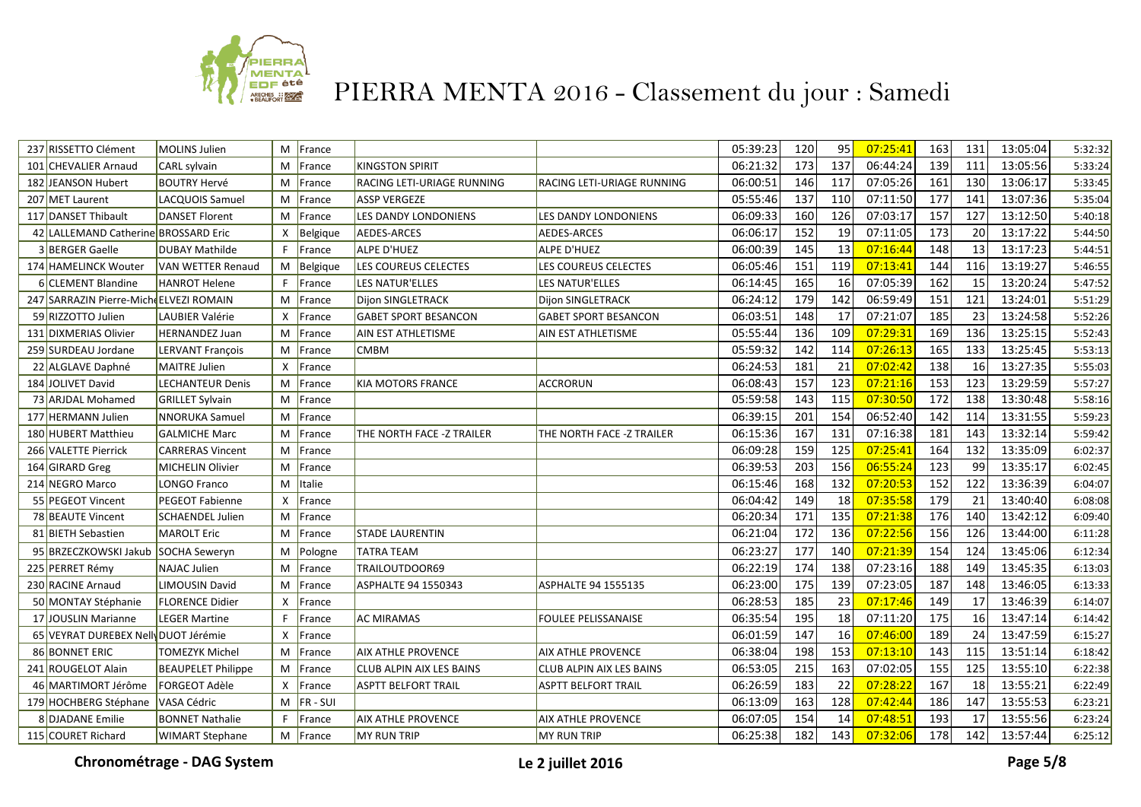

| 237 RISSETTO Clément                    | <b>MOLINS Julien</b>      |              | M France      |                                 |                             | 05:39:23 | 120              | 95              | 07:25:41 | 163              | 131 | 13:05:04 | 5:32:32 |
|-----------------------------------------|---------------------------|--------------|---------------|---------------------------------|-----------------------------|----------|------------------|-----------------|----------|------------------|-----|----------|---------|
| 101 CHEVALIER Arnaud                    | CARL sylvain              | M            | France        | <b>KINGSTON SPIRIT</b>          |                             | 06:21:32 | 173              | 137             | 06:44:24 | 139              | 111 | 13:05:56 | 5:33:24 |
| 182 JEANSON Hubert                      | <b>BOUTRY Hervé</b>       | M            | France        | RACING LETI-URIAGE RUNNING      | RACING LETI-URIAGE RUNNING  | 06:00:51 | 146              | 117             | 07:05:26 | 161              | 130 | 13:06:17 | 5:33:45 |
| 207 MET Laurent                         | LACQUOIS Samuel           | M            | France        | <b>ASSP VERGEZE</b>             |                             | 05:55:46 | 137              | 110             | 07:11:50 | 177              | 141 | 13:07:36 | 5:35:04 |
| 117 DANSET Thibault                     | DANSET Florent            |              | M France      | LES DANDY LONDONIENS            | LES DANDY LONDONIENS        | 06:09:33 | 160              | 126             | 07:03:17 | 157              | 127 | 13:12:50 | 5:40:18 |
| 42 LALLEMAND Catherine BROSSARD Eric    |                           | X            | Belgique      | AEDES-ARCES                     | <b>AEDES-ARCES</b>          | 06:06:17 | 152              | 19              | 07:11:05 | 173              | 20  | 13:17:22 | 5:44:50 |
| 3 BERGER Gaelle                         | <b>DUBAY Mathilde</b>     | F.           | France        | ALPE D'HUEZ                     | ALPE D'HUEZ                 | 06:00:39 | 145              | 13              | 07:16:44 | 148              | 13  | 13:17:23 | 5:44:51 |
| 174 HAMELINCK Wouter                    | VAN WETTER Renaud         |              | M   Belgique  | LES COUREUS CELECTES            | LES COUREUS CELECTES        | 06:05:46 | 151              | 119             | 07:13:41 | 144              | 116 | 13:19:27 | 5:46:55 |
| 6 CLEMENT Blandine                      | <b>HANROT Helene</b>      | F.           | France        | LES NATUR'ELLES                 | LES NATUR'ELLES             | 06:14:45 | 165              | 16              | 07:05:39 | 162              | 15  | 13:20:24 | 5:47:52 |
| 247 SARRAZIN Pierre-Miche ELVEZI ROMAIN |                           | M            | France        | Dijon SINGLETRACK               | <b>Dijon SINGLETRACK</b>    | 06:24:12 | 179              | 142             | 06:59:49 | 151              | 121 | 13:24:01 | 5:51:29 |
| 59 RIZZOTTO Julien                      | LAUBIER Valérie           | $\mathsf{x}$ | France        | <b>GABET SPORT BESANCON</b>     | <b>GABET SPORT BESANCON</b> | 06:03:51 | 148              | 17              | 07:21:07 | 185              | 23  | 13:24:58 | 5:52:26 |
| 131 DIXMERIAS Olivier                   | <b>HERNANDEZ Juan</b>     | M            | France        | AIN EST ATHLETISME              | AIN EST ATHLETISME          | 05:55:44 | 136              | 109             | 07:29:31 | 169              | 136 | 13:25:15 | 5:52:43 |
| 259 SURDEAU Jordane                     | <b>LERVANT François</b>   | M            | France        | <b>CMBM</b>                     |                             | 05:59:32 | 142              | 114             | 07:26:13 | 165              | 133 | 13:25:45 | 5:53:13 |
| 22 ALGLAVE Daphné                       | MAITRE Julien             | X            | France        |                                 |                             | 06:24:53 | 181              | 21              | 07:02:42 | 138              | 16  | 13:27:35 | 5:55:03 |
| 184 JOLIVET David                       | <b>LECHANTEUR Denis</b>   | M            | France        | <b>KIA MOTORS FRANCE</b>        | ACCRORUN                    | 06:08:43 | 157              | 123             | 07:21:16 | 153              | 123 | 13:29:59 | 5:57:27 |
| 73 ARJDAL Mohamed                       | <b>GRILLET Sylvain</b>    | M            | France        |                                 |                             | 05:59:58 | 143              | 115             | 07:30:50 | $\overline{172}$ | 138 | 13:30:48 | 5:58:16 |
| 177 HERMANN Julien                      | <b>NNORUKA</b> Samuel     |              | M   France    |                                 |                             | 06:39:15 | 201              | 154             | 06:52:40 | 142              | 114 | 13:31:55 | 5:59:23 |
| 180 HUBERT Matthieu                     | <b>GALMICHE Marc</b>      | М            | France        | THE NORTH FACE -Z TRAILER       | THE NORTH FACE -Z TRAILER   | 06:15:36 | 167              | 131             | 07:16:38 | 181              | 143 | 13:32:14 | 5:59:42 |
| 266 VALETTE Pierrick                    | <b>CARRERAS Vincent</b>   | M            | France        |                                 |                             | 06:09:28 | 159              | 125             | 07:25:41 | 164              | 132 | 13:35:09 | 6:02:37 |
| 164 GIRARD Greg                         | <b>MICHELIN Olivier</b>   |              | M   France    |                                 |                             | 06:39:53 | 203              | 156             | 06:55:24 | 123              | 99  | 13:35:17 | 6:02:45 |
| 214 NEGRO Marco                         | LONGO Franco              | M            | <b>Italie</b> |                                 |                             | 06:15:46 | 168              | 132             | 07:20:53 | 152              | 122 | 13:36:39 | 6:04:07 |
| 55 PEGEOT Vincent                       | <b>PEGEOT Fabienne</b>    | $\mathsf{x}$ | France        |                                 |                             | 06:04:42 | 149              | 18              | 07:35:58 | 179              | 21  | 13:40:40 | 6:08:08 |
| 78 BEAUTE Vincent                       | <b>SCHAENDEL Julien</b>   |              | M   France    |                                 |                             | 06:20:34 | $\overline{171}$ | $\frac{135}{ }$ | 07:21:38 | 176              | 140 | 13:42:12 | 6:09:40 |
| 81 BIETH Sebastien                      | MAROLT Eric               |              | M France      | <b>STADE LAURENTIN</b>          |                             | 06:21:04 | $\overline{172}$ | $\frac{136}{ }$ | 07:22:56 | 156              | 126 | 13:44:00 | 6:11:28 |
| 95 BRZECZKOWSKI Jakub SOCHA Seweryn     |                           | M            | Pologne       | TATRA TEAM                      |                             | 06:23:27 | 177              | 140             | 07:21:39 | 154              | 124 | 13:45:06 | 6:12:34 |
| 225 PERRET Rémy                         | <b>NAJAC Julien</b>       | M            | France        | TRAILOUTDOOR69                  |                             | 06:22:19 | 174              | 138             | 07:23:16 | 188              | 149 | 13:45:35 | 6:13:03 |
| 230 RACINE Arnaud                       | <b>LIMOUSIN David</b>     | M            | France        | ASPHALTE 94 1550343             | ASPHALTE 94 1555135         | 06:23:00 | 175              | 139             | 07:23:05 | 187              | 148 | 13:46:05 | 6:13:33 |
| 50 MONTAY Stéphanie                     | <b>FLORENCE Didier</b>    | X            | France        |                                 |                             | 06:28:53 | 185              | 23              | 07:17:46 | 149              | 17  | 13:46:39 | 6:14:07 |
| 17 JOUSLIN Marianne                     | <b>LEGER Martine</b>      | F.           | France        | <b>AC MIRAMAS</b>               | <b>FOULEE PELISSANAISE</b>  | 06:35:54 | 195              | 18              | 07:11:20 | 175              | 16  | 13:47:14 | 6:14:42 |
| 65 VEYRAT DUREBEX Nell DUOT Jérémie     |                           | X            | France        |                                 |                             | 06:01:59 | 147              | 16              | 07:46:00 | 189              | 24  | 13:47:59 | 6:15:27 |
| 86 BONNET ERIC                          | TOMEZYK Michel            | M            | France        | <b>AIX ATHLE PROVENCE</b>       | <b>AIX ATHLE PROVENCE</b>   | 06:38:04 | 198              | 153             | 07:13:10 | 143              | 115 | 13:51:14 | 6:18:42 |
| 241 ROUGELOT Alain                      | <b>BEAUPELET Philippe</b> |              | M France      | <b>CLUB ALPIN AIX LES BAINS</b> | CLUB ALPIN AIX LES BAINS    | 06:53:05 | 215              | 163             | 07:02:05 | 155              | 125 | 13:55:10 | 6:22:38 |
| 46 MARTIMORT Jérôme                     | <b>FORGEOT Adèle</b>      |              | X France      | <b>ASPTT BELFORT TRAIL</b>      | <b>ASPTT BELFORT TRAIL</b>  | 06:26:59 | 183              | 22              | 07:28:22 | 167              | 18  | 13:55:21 | 6:22:49 |
| 179 HOCHBERG Stéphane                   | VASA Cédric               |              | $M$  FR - SUI |                                 |                             | 06:13:09 | 163              | 128             | 07:42:44 | 186              | 147 | 13:55:53 | 6:23:21 |
| 8 DJADANE Emilie                        | <b>BONNET Nathalie</b>    | F.           | France        | <b>AIX ATHLE PROVENCE</b>       | AIX ATHLE PROVENCE          | 06:07:05 | 154              | 14              | 07:48:51 | 193              | 17  | 13:55:56 | 6:23:24 |
| 115 COURET Richard                      | <b>WIMART Stephane</b>    |              | M France      | <b>MY RUN TRIP</b>              | <b>MY RUN TRIP</b>          | 06:25:38 | 182              | 143             | 07:32:06 | 178              | 142 | 13:57:44 | 6:25:12 |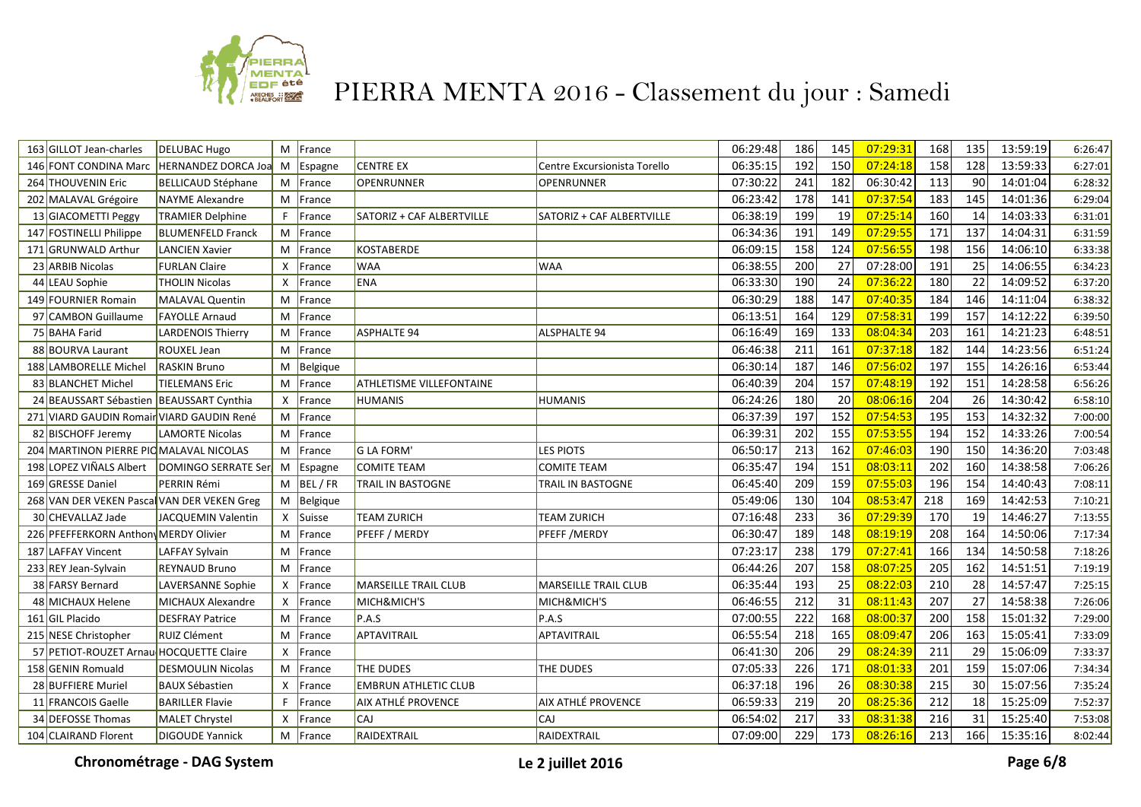

| 163 GILLOT Jean-charles                     | <b>DELUBAC Hugo</b>        |              | M France      |                             |                              | 06:29:48 | 186 | 145              | 07:29:31 | 168              | 135 | 13:59:19 | 6:26:47 |
|---------------------------------------------|----------------------------|--------------|---------------|-----------------------------|------------------------------|----------|-----|------------------|----------|------------------|-----|----------|---------|
| 146 FONT CONDINA Marc                       | <b>HERNANDEZ DORCA Joa</b> | M            | Espagne       | <b>CENTRE EX</b>            | Centre Excursionista Torello | 06:35:15 | 192 | 150              | 07:24:18 | 158              | 128 | 13:59:33 | 6:27:01 |
| 264 THOUVENIN Eric                          | BELLICAUD Stéphane         |              | M France      | OPENRUNNER                  | <b>OPENRUNNER</b>            | 07:30:22 | 241 | 182              | 06:30:42 | 113              | 90  | 14:01:04 | 6:28:32 |
| 202 MALAVAL Grégoire                        | NAYME Alexandre            |              | M France      |                             |                              | 06:23:42 | 178 | 141              | 07:37:54 | 183              | 145 | 14:01:36 | 6:29:04 |
| 13 GIACOMETTI Peggy                         | <b>TRAMIER Delphine</b>    | F.           | France        | SATORIZ + CAF ALBERTVILLE   | SATORIZ + CAF ALBERTVILLE    | 06:38:19 | 199 | 19               | 07:25:14 | 160              | 14  | 14:03:33 | 6:31:01 |
| 147 FOSTINELLI Philippe                     | <b>BLUMENFELD Franck</b>   |              | M France      |                             |                              | 06:34:36 | 191 | 149              | 07:29:55 | 171              | 137 | 14:04:31 | 6:31:59 |
| 171 GRUNWALD Arthur                         | LANCIEN Xavier             |              | M France      | <b>KOSTABERDE</b>           |                              | 06:09:15 | 158 | 124              | 07:56:55 | 198              | 156 | 14:06:10 | 6:33:38 |
| 23 ARBIB Nicolas                            | <b>FURLAN Claire</b>       | X            | France        | <b>WAA</b>                  | <b>WAA</b>                   | 06:38:55 | 200 | 27               | 07:28:00 | 191              | 25  | 14:06:55 | 6:34:23 |
| 44 LEAU Sophie                              | <b>THOLIN Nicolas</b>      | X            | France        | ENA                         |                              | 06:33:30 | 190 | 24               | 07:36:22 | 180              | 22  | 14:09:52 | 6:37:20 |
| 149 FOURNIER Romain                         | MALAVAL Quentin            | M            | <b>France</b> |                             |                              | 06:30:29 | 188 | 147              | 07:40:35 | 184              | 146 | 14:11:04 | 6:38:32 |
| 97 CAMBON Guillaume                         | <b>FAYOLLE Arnaud</b>      |              | M France      |                             |                              | 06:13:51 | 164 | 129              | 07:58:31 | 199              | 157 | 14:12:22 | 6:39:50 |
| 75 BAHA Farid                               | <b>LARDENOIS Thierry</b>   |              | M France      | <b>ASPHALTE 94</b>          | <b>ALSPHALTE 94</b>          | 06:16:49 | 169 | $\overline{133}$ | 08:04:34 | $\overline{203}$ | 161 | 14:21:23 | 6:48:51 |
| 88 BOURVA Laurant                           | ROUXEL Jean                |              | M France      |                             |                              | 06:46:38 | 211 | 161              | 07:37:18 | 182              | 144 | 14:23:56 | 6:51:24 |
| 188 LAMBORELLE Michel                       | <b>RASKIN Bruno</b>        |              | $M$ Belgique  |                             |                              | 06:30:14 | 187 | 146              | 07:56:02 | 197              | 155 | 14:26:16 | 6:53:44 |
| 83 BLANCHET Michel                          | <b>TIELEMANS Eric</b>      | M            | France        | ATHLETISME VILLEFONTAINE    |                              | 06:40:39 | 204 | 157              | 07:48:19 | 192              | 151 | 14:28:58 | 6:56:26 |
| 24 BEAUSSART Sébastien                      | <b>BEAUSSART Cynthia</b>   | X            | France        | <b>HUMANIS</b>              | HUMANIS                      | 06:24:26 | 180 | 20               | 08:06:16 | 204              | 26  | 14:30:42 | 6:58:10 |
| 271 VIARD GAUDIN Romair VIARD GAUDIN René   |                            |              | M France      |                             |                              | 06:37:39 | 197 | 152              | 07:54:53 | 195              | 153 | 14:32:32 | 7:00:00 |
| 82 BISCHOFF Jeremy                          | <b>LAMORTE Nicolas</b>     |              | M France      |                             |                              | 06:39:31 | 202 | 155              | 07:53:55 | 194              | 152 | 14:33:26 | 7:00:54 |
| 204 MARTINON PIERRE PIOMALAVAL NICOLAS      |                            |              | M France      | <b>G LA FORM'</b>           | <b>LES PIOTS</b>             | 06:50:17 | 213 | 162              | 07:46:03 | 190              | 150 | 14:36:20 | 7:03:48 |
| 198 LOPEZ VIÑALS Albert                     | DOMINGO SERRATE Ser        |              | M Espagne     | <b>COMITE TEAM</b>          | <b>COMITE TEAM</b>           | 06:35:47 | 194 | 151              | 08:03:11 | $\overline{202}$ | 160 | 14:38:58 | 7:06:26 |
| 169 GRESSE Daniel                           | <b>PERRIN Rémi</b>         |              | $M$ BEL/FR    | <b>TRAIL IN BASTOGNE</b>    | TRAIL IN BASTOGNE            | 06:45:40 | 209 | 159              | 07:55:03 | 196              | 154 | 14:40:43 | 7:08:11 |
| 268 VAN DER VEKEN Pascal VAN DER VEKEN Greg |                            |              | $M$ Belgique  |                             |                              | 05:49:06 | 130 | 104              | 08:53:47 | 218              | 169 | 14:42:53 | 7:10:21 |
| 30 CHEVALLAZ Jade                           | JACQUEMIN Valentin         |              | X Suisse      | <b>TEAM ZURICH</b>          | TEAM ZURICH                  | 07:16:48 | 233 | 36               | 07:29:39 | 170              | 19  | 14:46:27 | 7:13:55 |
| 226 PFEFFERKORN Anthon MERDY Olivier        |                            | M            | France        | PFEFF / MERDY               | PFEFF / MERDY                | 06:30:47 | 189 | 148              | 08:19:19 | 208              | 164 | 14:50:06 | 7:17:34 |
| 187 LAFFAY Vincent                          | LAFFAY Sylvain             | M            | France        |                             |                              | 07:23:17 | 238 | 179              | 07:27:41 | 166              | 134 | 14:50:58 | 7:18:26 |
| 233 REY Jean-Sylvain                        | <b>REYNAUD Bruno</b>       |              | M France      |                             |                              | 06:44:26 | 207 | 158              | 08:07:25 | 205              | 162 | 14:51:51 | 7:19:19 |
| 38 FARSY Bernard                            | LAVERSANNE Sophie          | X            | France        | <b>MARSEILLE TRAIL CLUB</b> | <b>MARSEILLE TRAIL CLUB</b>  | 06:35:44 | 193 | 25               | 08:22:03 | 210              | 28  | 14:57:47 | 7:25:15 |
| 48 MICHAUX Helene                           | <b>MICHAUX Alexandre</b>   | $\mathsf{x}$ | France        | MICH&MICH'S                 | MICH&MICH'S                  | 06:46:55 | 212 | $\overline{31}$  | 08:11:43 | $\overline{207}$ | 27  | 14:58:38 | 7:26:06 |
| 161 GIL Placido                             | <b>DESFRAY Patrice</b>     | M            | France        | P.A.S                       | P.A.S                        | 07:00:55 | 222 | 168              | 08:00:37 | 200              | 158 | 15:01:32 | 7:29:00 |
| 215 NESE Christopher                        | RUIZ Clément               | M            | France        | APTAVITRAIL                 | APTAVITRAIL                  | 06:55:54 | 218 | 165              | 08:09:47 | 206              | 163 | 15:05:41 | 7:33:09 |
| 57 PETIOT-ROUZET Arnau HOCQUETTE Claire     |                            | $\mathsf{x}$ | France        |                             |                              | 06:41:30 | 206 | 29               | 08:24:39 | 211              | 29  | 15:06:09 | 7:33:37 |
| 158 GENIN Romuald                           | <b>DESMOULIN Nicolas</b>   |              | M France      | THE DUDES                   | THE DUDES                    | 07:05:33 | 226 | 171              | 08:01:33 | 201              | 159 | 15:07:06 | 7:34:34 |
| 28 BUFFIERE Muriel                          | <b>BAUX Sébastien</b>      | $\mathsf{x}$ | France        | <b>EMBRUN ATHLETIC CLUB</b> |                              | 06:37:18 | 196 | 26               | 08:30:38 | 215              | 30  | 15:07:56 | 7:35:24 |
| 11 FRANCOIS Gaelle                          | <b>BARILLER Flavie</b>     | F.           | France        | <b>AIX ATHLÉ PROVENCE</b>   | AIX ATHLÉ PROVENCE           | 06:59:33 | 219 | 20               | 08:25:36 | 212              | 18  | 15:25:09 | 7:52:37 |
| 34 DEFOSSE Thomas                           | <b>MALET Chrystel</b>      | X            | France        | <b>CAJ</b>                  | CAJ                          | 06:54:02 | 217 | 33               | 08:31:38 | 216              | 31  | 15:25:40 | 7:53:08 |
| 104 CLAIRAND Florent                        | <b>DIGOUDE Yannick</b>     |              | M France      | RAIDEXTRAIL                 | RAIDEXTRAIL                  | 07:09:00 | 229 | 173              | 08:26:16 | 213              | 166 | 15:35:16 | 8:02:44 |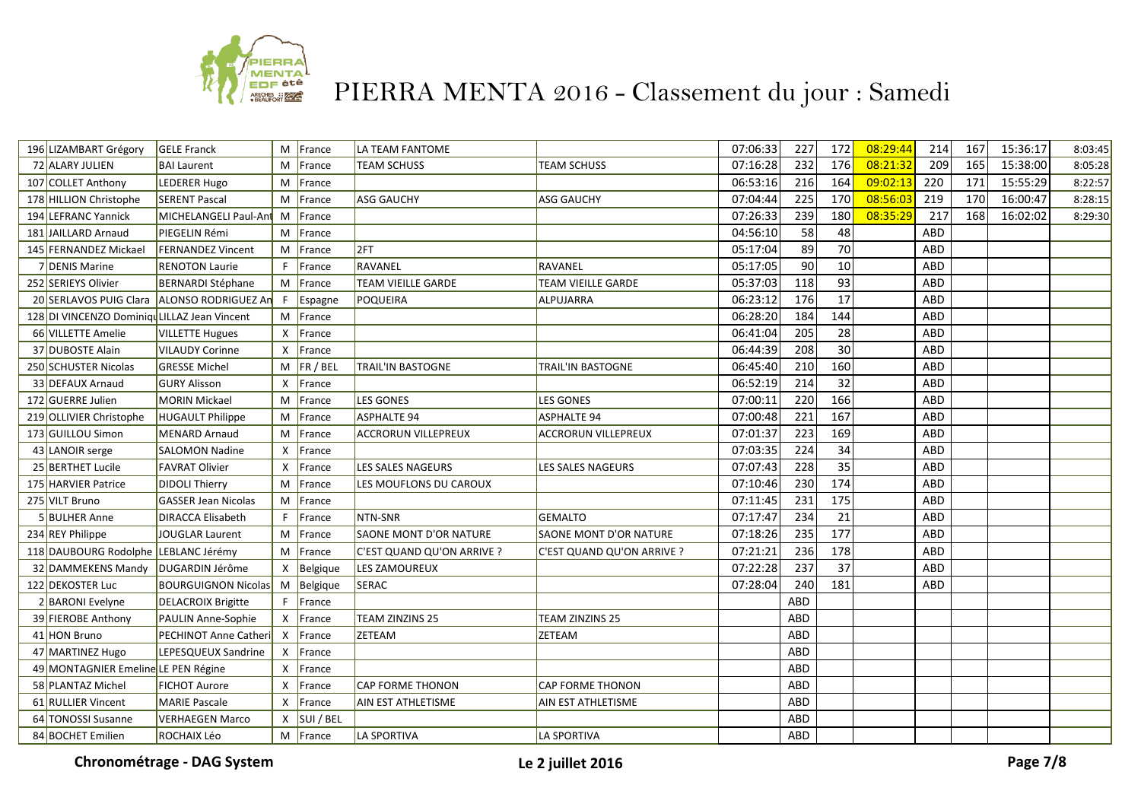

| 196 LIZAMBART Grégory                         | <b>GELE Franck</b>          |              | M France     | LA TEAM FANTOME               |                            | 07:06:33 | 227 | 172             | 08:29:44 | 214        | 167 | 15:36:17 | 8:03:45 |
|-----------------------------------------------|-----------------------------|--------------|--------------|-------------------------------|----------------------------|----------|-----|-----------------|----------|------------|-----|----------|---------|
| 72 ALARY JULIEN                               | <b>BAI Laurent</b>          | M            | France       | <b>TEAM SCHUSS</b>            | <b>TEAM SCHUSS</b>         | 07:16:28 | 232 | $\frac{176}{ }$ | 08:21:32 | 209        | 165 | 15:38:00 | 8:05:28 |
| 107 COLLET Anthony                            | LEDERER Hugo                |              | M France     |                               |                            | 06:53:16 | 216 | 164             | 09:02:13 | 220        | 171 | 15:55:29 | 8:22:57 |
| 178 HILLION Christophe                        | <b>SERENT Pascal</b>        |              | M France     | <b>ASG GAUCHY</b>             | <b>ASG GAUCHY</b>          | 07:04:44 | 225 | 170             | 08:56:03 | 219        | 170 | 16:00:47 | 8:28:15 |
| 194 LEFRANC Yannick                           | MICHELANGELI Paul-Ant       |              | M France     |                               |                            | 07:26:33 | 239 | 180             | 08:35:29 | 217        | 168 | 16:02:02 | 8:29:30 |
| 181 JAILLARD Arnaud                           | <b>PIEGELIN Rémi</b>        |              | M France     |                               |                            | 04:56:10 | 58  | 48              |          | <b>ABD</b> |     |          |         |
| 145 FERNANDEZ Mickael                         | <b>FERNANDEZ Vincent</b>    |              | M France     | 2FT                           |                            | 05:17:04 | 89  | 70              |          | ABD        |     |          |         |
| 7 DENIS Marine                                | <b>RENOTON Laurie</b>       | F.           | France       | RAVANEL                       | RAVANEL                    | 05:17:05 | 90  | 10              |          | ABD        |     |          |         |
| 252 SERIEYS Olivier                           | <b>BERNARDI Stéphane</b>    |              | M France     | <b>TEAM VIEILLE GARDE</b>     | <b>TEAM VIEILLE GARDE</b>  | 05:37:03 | 118 | 93              |          | <b>ABD</b> |     |          |         |
| 20 SERLAVOS PUIG Clara                        | ALONSO RODRIGUEZ An         | F.           | Espagne      | POQUEIRA                      | ALPUJARRA                  | 06:23:12 | 176 | $\overline{17}$ |          | ABD        |     |          |         |
| 128 DI VINCENZO Dominique LILLAZ Jean Vincent |                             |              | M France     |                               |                            | 06:28:20 | 184 | 144             |          | ABD        |     |          |         |
| 66 VILLETTE Amelie                            | <b>VILLETTE Hugues</b>      | $\mathsf{x}$ | France       |                               |                            | 06:41:04 | 205 | 28              |          | ABD        |     |          |         |
| 37 DUBOSTE Alain                              | <b>VILAUDY Corinne</b>      | $\mathsf{x}$ | France       |                               |                            | 06:44:39 | 208 | 30              |          | ABD        |     |          |         |
| 250 SCHUSTER Nicolas                          | <b>GRESSE Michel</b>        |              | $M$ FR / BEL | <b>TRAIL'IN BASTOGNE</b>      | TRAIL'IN BASTOGNE          | 06:45:40 | 210 | 160             |          | ABD        |     |          |         |
| 33 DEFAUX Arnaud                              | <b>GURY Alisson</b>         | $\mathsf{X}$ | France       |                               |                            | 06:52:19 | 214 | 32              |          | <b>ABD</b> |     |          |         |
| 172 GUERRE Julien                             | <b>MORIN Mickael</b>        | M            | France       | <b>LES GONES</b>              | <b>LES GONES</b>           | 07:00:11 | 220 | 166             |          | ABD        |     |          |         |
| 219 OLLIVIER Christophe                       | <b>HUGAULT Philippe</b>     | M            | France       | <b>ASPHALTE 94</b>            | <b>ASPHALTE 94</b>         | 07:00:48 | 221 | 167             |          | ABD        |     |          |         |
| 173 GUILLOU Simon                             | <b>MENARD Arnaud</b>        |              | M France     | <b>ACCRORUN VILLEPREUX</b>    | <b>ACCRORUN VILLEPREUX</b> | 07:01:37 | 223 | 169             |          | ABD        |     |          |         |
| 43 LANOIR serge                               | <b>SALOMON Nadine</b>       |              | X   France   |                               |                            | 07:03:35 | 224 | 34              |          | ABD        |     |          |         |
| 25 BERTHET Lucile                             | <b>FAVRAT Olivier</b>       |              | X France     | LES SALES NAGEURS             | LES SALES NAGEURS          | 07:07:43 | 228 | 35              |          | ABD        |     |          |         |
| 175 HARVIER Patrice                           | <b>DIDOLI Thierry</b>       |              | M France     | LES MOUFLONS DU CAROUX        |                            | 07:10:46 | 230 | 174             |          | ABD        |     |          |         |
| 275 VILT Bruno                                | <b>GASSER Jean Nicolas</b>  |              | M France     |                               |                            | 07:11:45 | 231 | 175             |          | ABD        |     |          |         |
| 5 BULHER Anne                                 | <b>DIRACCA Elisabeth</b>    | F.           | France       | NTN-SNR                       | <b>GEMALTO</b>             | 07:17:47 | 234 | 21              |          | ABD        |     |          |         |
| 234 REY Philippe                              | <b>JOUGLAR Laurent</b>      |              | M France     | <b>SAONE MONT D'OR NATURE</b> | SAONE MONT D'OR NATURE     | 07:18:26 | 235 | 177             |          | ABD        |     |          |         |
| 118 DAUBOURG Rodolphe LEBLANC Jérémy          |                             |              | M France     | C'EST QUAND QU'ON ARRIVE ?    | C'EST QUAND QU'ON ARRIVE ? | 07:21:21 | 236 | 178             |          | ABD        |     |          |         |
| 32 DAMMEKENS Mandy                            | DUGARDIN Jérôme             |              | $X$ Belgique | LES ZAMOUREUX                 |                            | 07:22:28 | 237 | 37              |          | ABD        |     |          |         |
| 122 DEKOSTER Luc                              | <b>BOURGUIGNON Nicolas</b>  |              | M Belgique   | <b>SERAC</b>                  |                            | 07:28:04 | 240 | 181             |          | ABD        |     |          |         |
| <b>BARONI</b> Evelyne                         | <b>DELACROIX Brigitte</b>   | F.           | France       |                               |                            |          | ABD |                 |          |            |     |          |         |
| 39 FIEROBE Anthony                            | PAULIN Anne-Sophie          |              | $X$ France   | TEAM ZINZINS 25               | TEAM ZINZINS 25            |          | ABD |                 |          |            |     |          |         |
| 41 HON Bruno                                  | <b>PECHINOT Anne Cather</b> |              | X France     | <b>ZETEAM</b>                 | ZETEAM                     |          | ABD |                 |          |            |     |          |         |
| 47 MARTINEZ Hugo                              | LEPESQUEUX Sandrine         |              | $X$ France   |                               |                            |          | ABD |                 |          |            |     |          |         |
| 49 MONTAGNIER Emeline LE PEN Régine           |                             | $\mathsf{x}$ | France       |                               |                            |          | ABD |                 |          |            |     |          |         |
| 58 PLANTAZ Michel                             | <b>FICHOT Aurore</b>        | $\mathsf{x}$ | France       | <b>CAP FORME THONON</b>       | <b>CAP FORME THONON</b>    |          | ABD |                 |          |            |     |          |         |
| 61 RULLIER Vincent                            | <b>MARIE Pascale</b>        | X            | France       | <b>AIN EST ATHLETISME</b>     | AIN EST ATHLETISME         |          | ABD |                 |          |            |     |          |         |
| 64 TONOSSI Susanne                            | <b>VERHAEGEN Marco</b>      | X            | SUI / BEL    |                               |                            |          | ABD |                 |          |            |     |          |         |
| 84 BOCHET Emilien                             | ROCHAIX Léo                 |              | $M$ France   | LA SPORTIVA                   | LA SPORTIVA                |          | ABD |                 |          |            |     |          |         |